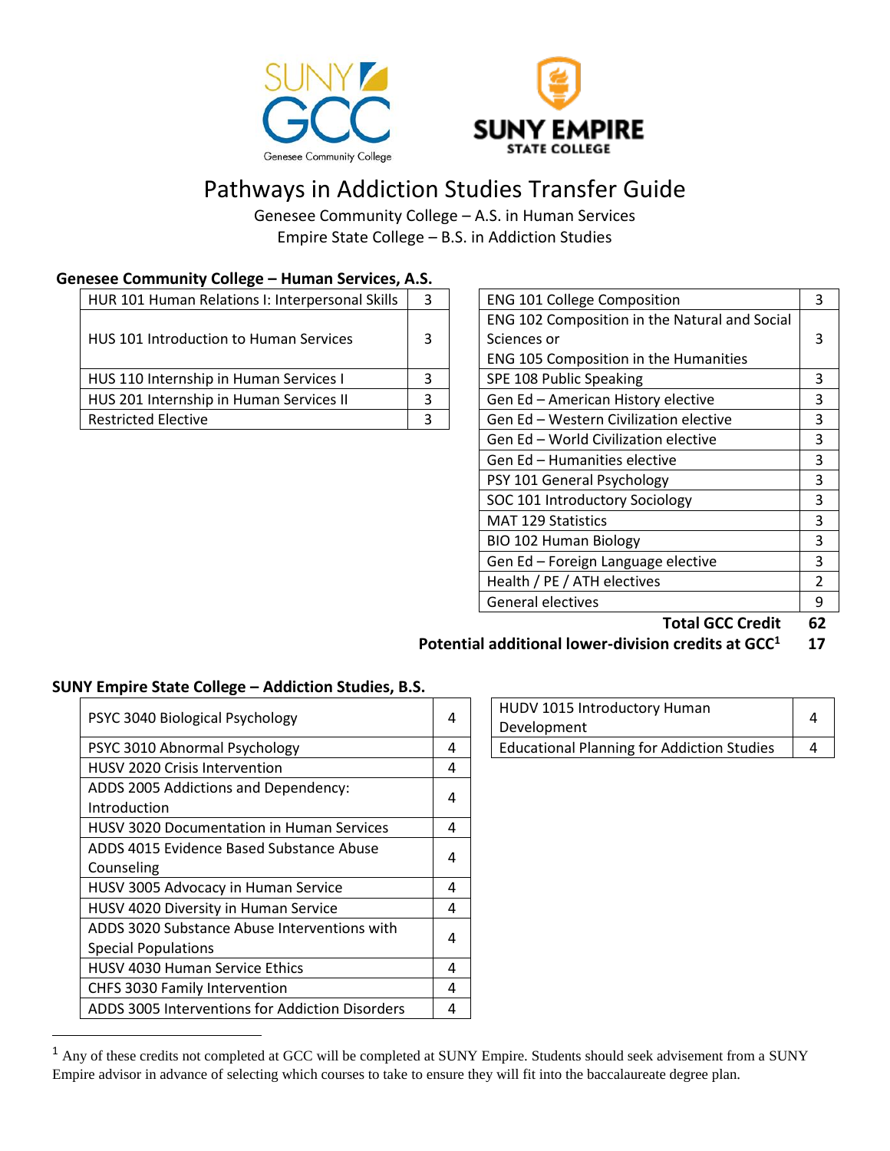



# Pathways in Addiction Studies Transfer Guide

Genesee Community College – A.S. in Human Services Empire State College – B.S. in Addiction Studies

## **Genesee Community College – Human Services, A.S.**

| HUR 101 Human Relations I: Interpersonal Skills | <b>ENG 101 College Composition</b>            |   |
|-------------------------------------------------|-----------------------------------------------|---|
|                                                 | ENG 102 Composition in the Natural and Social |   |
| HUS 101 Introduction to Human Services          | Sciences or                                   |   |
|                                                 | <b>ENG 105 Composition in the Humanities</b>  |   |
| HUS 110 Internship in Human Services I          | SPE 108 Public Speaking                       |   |
| HUS 201 Internship in Human Services II         | Gen Ed - American History elective            |   |
| <b>Restricted Elective</b>                      | Gen Ed - Western Civilization elective        | 3 |

| <b>ENG 101 College Composition</b>            | 3 |
|-----------------------------------------------|---|
| ENG 102 Composition in the Natural and Social |   |
| Sciences or                                   |   |
| <b>ENG 105 Composition in the Humanities</b>  |   |
| SPE 108 Public Speaking                       |   |
| Gen Ed - American History elective            |   |
| Gen Ed - Western Civilization elective        | 3 |
| Gen Ed - World Civilization elective          | 3 |
| Gen Ed – Humanities elective                  |   |
| PSY 101 General Psychology                    |   |
| SOC 101 Introductory Sociology                |   |
| <b>MAT 129 Statistics</b>                     |   |
| BIO 102 Human Biology                         |   |
| Gen Ed - Foreign Language elective            |   |
| Health / PE / ATH electives                   |   |
| General electives                             |   |

 **Total GCC Credit 62**

**Potential additional lower-division credits at GCC<sup>1</sup> 17** 

### **SUNY Empire State College – Addiction Studies, B.S.**

 $\overline{a}$ 

| PSYC 3040 Biological Psychology                                            | 4 | HUDV 1015 Introductory Human<br>Development       | 4 |
|----------------------------------------------------------------------------|---|---------------------------------------------------|---|
| PSYC 3010 Abnormal Psychology                                              | 4 | <b>Educational Planning for Addiction Studies</b> | 4 |
| <b>HUSV 2020 Crisis Intervention</b>                                       | 4 |                                                   |   |
| ADDS 2005 Addictions and Dependency:<br>Introduction                       | 4 |                                                   |   |
| <b>HUSV 3020 Documentation in Human Services</b>                           | 4 |                                                   |   |
| ADDS 4015 Evidence Based Substance Abuse<br>Counseling                     | 4 |                                                   |   |
| HUSV 3005 Advocacy in Human Service                                        | 4 |                                                   |   |
| HUSV 4020 Diversity in Human Service                                       | 4 |                                                   |   |
| ADDS 3020 Substance Abuse Interventions with<br><b>Special Populations</b> | 4 |                                                   |   |
| <b>HUSV 4030 Human Service Ethics</b>                                      | 4 |                                                   |   |
| CHFS 3030 Family Intervention                                              | 4 |                                                   |   |
| ADDS 3005 Interventions for Addiction Disorders                            | 4 |                                                   |   |

| HUDV 1015 Introductory Human<br>Development |  |
|---------------------------------------------|--|
|                                             |  |

<sup>&</sup>lt;sup>1</sup> Any of these credits not completed at GCC will be completed at SUNY Empire. Students should seek advisement from a SUNY Empire advisor in advance of selecting which courses to take to ensure they will fit into the baccalaureate degree plan.